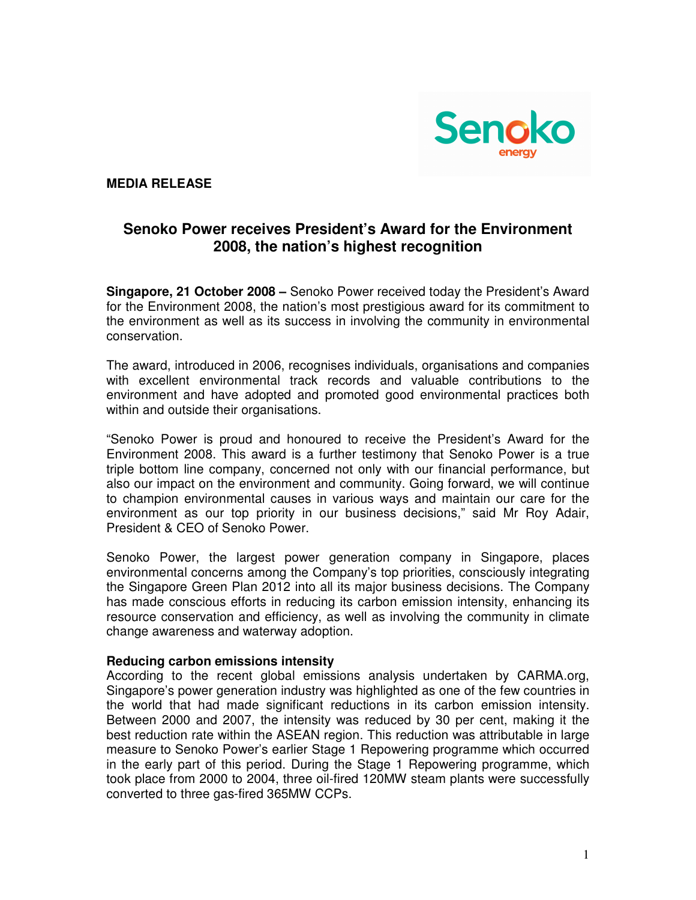

# **MEDIA RELEASE**

# **Senoko Power receives President's Award for the Environment 2008, the nation's highest recognition**

**Singapore, 21 October 2008 –** Senoko Power received today the President's Award for the Environment 2008, the nation's most prestigious award for its commitment to the environment as well as its success in involving the community in environmental conservation.

The award, introduced in 2006, recognises individuals, organisations and companies with excellent environmental track records and valuable contributions to the environment and have adopted and promoted good environmental practices both within and outside their organisations.

"Senoko Power is proud and honoured to receive the President's Award for the Environment 2008. This award is a further testimony that Senoko Power is a true triple bottom line company, concerned not only with our financial performance, but also our impact on the environment and community. Going forward, we will continue to champion environmental causes in various ways and maintain our care for the environment as our top priority in our business decisions," said Mr Roy Adair, President & CEO of Senoko Power.

Senoko Power, the largest power generation company in Singapore, places environmental concerns among the Company's top priorities, consciously integrating the Singapore Green Plan 2012 into all its major business decisions. The Company has made conscious efforts in reducing its carbon emission intensity, enhancing its resource conservation and efficiency, as well as involving the community in climate change awareness and waterway adoption.

#### **Reducing carbon emissions intensity**

According to the recent global emissions analysis undertaken by CARMA.org, Singapore's power generation industry was highlighted as one of the few countries in the world that had made significant reductions in its carbon emission intensity. Between 2000 and 2007, the intensity was reduced by 30 per cent, making it the best reduction rate within the ASEAN region. This reduction was attributable in large measure to Senoko Power's earlier Stage 1 Repowering programme which occurred in the early part of this period. During the Stage 1 Repowering programme, which took place from 2000 to 2004, three oil-fired 120MW steam plants were successfully converted to three gas-fired 365MW CCPs.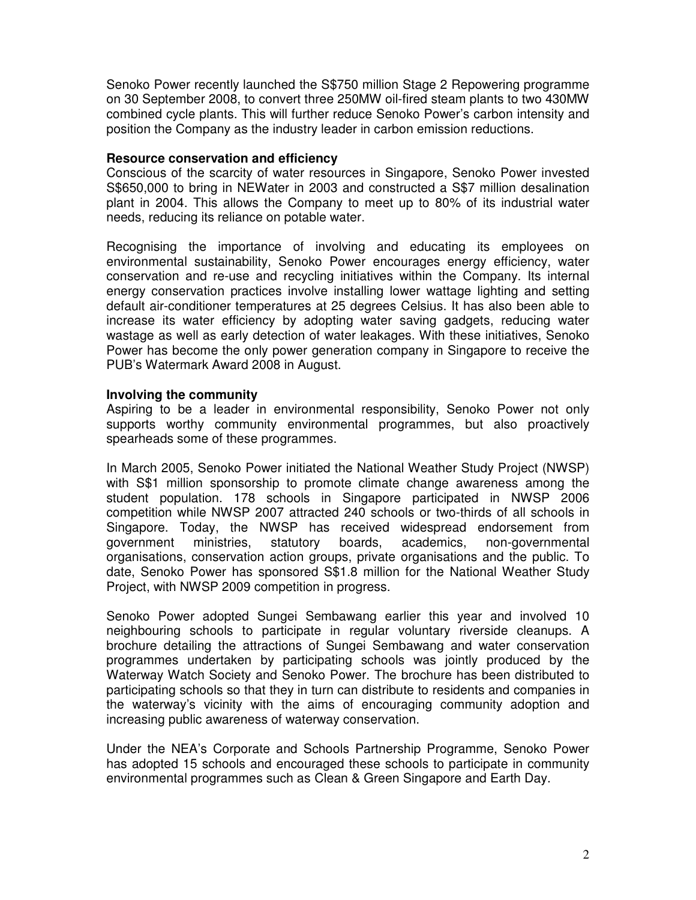Senoko Power recently launched the S\$750 million Stage 2 Repowering programme on 30 September 2008, to convert three 250MW oil-fired steam plants to two 430MW combined cycle plants. This will further reduce Senoko Power's carbon intensity and position the Company as the industry leader in carbon emission reductions.

#### **Resource conservation and efficiency**

Conscious of the scarcity of water resources in Singapore, Senoko Power invested S\$650,000 to bring in NEWater in 2003 and constructed a S\$7 million desalination plant in 2004. This allows the Company to meet up to 80% of its industrial water needs, reducing its reliance on potable water.

Recognising the importance of involving and educating its employees on environmental sustainability, Senoko Power encourages energy efficiency, water conservation and re-use and recycling initiatives within the Company. Its internal energy conservation practices involve installing lower wattage lighting and setting default air-conditioner temperatures at 25 degrees Celsius. It has also been able to increase its water efficiency by adopting water saving gadgets, reducing water wastage as well as early detection of water leakages. With these initiatives, Senoko Power has become the only power generation company in Singapore to receive the PUB's Watermark Award 2008 in August.

## **Involving the community**

Aspiring to be a leader in environmental responsibility, Senoko Power not only supports worthy community environmental programmes, but also proactively spearheads some of these programmes.

In March 2005, Senoko Power initiated the National Weather Study Project (NWSP) with S\$1 million sponsorship to promote climate change awareness among the student population. 178 schools in Singapore participated in NWSP 2006 competition while NWSP 2007 attracted 240 schools or two-thirds of all schools in Singapore. Today, the NWSP has received widespread endorsement from government ministries, statutory boards, academics, non-governmental organisations, conservation action groups, private organisations and the public. To date, Senoko Power has sponsored S\$1.8 million for the National Weather Study Project, with NWSP 2009 competition in progress.

Senoko Power adopted Sungei Sembawang earlier this year and involved 10 neighbouring schools to participate in regular voluntary riverside cleanups. A brochure detailing the attractions of Sungei Sembawang and water conservation programmes undertaken by participating schools was jointly produced by the Waterway Watch Society and Senoko Power. The brochure has been distributed to participating schools so that they in turn can distribute to residents and companies in the waterway's vicinity with the aims of encouraging community adoption and increasing public awareness of waterway conservation.

Under the NEA's Corporate and Schools Partnership Programme, Senoko Power has adopted 15 schools and encouraged these schools to participate in community environmental programmes such as Clean & Green Singapore and Earth Day.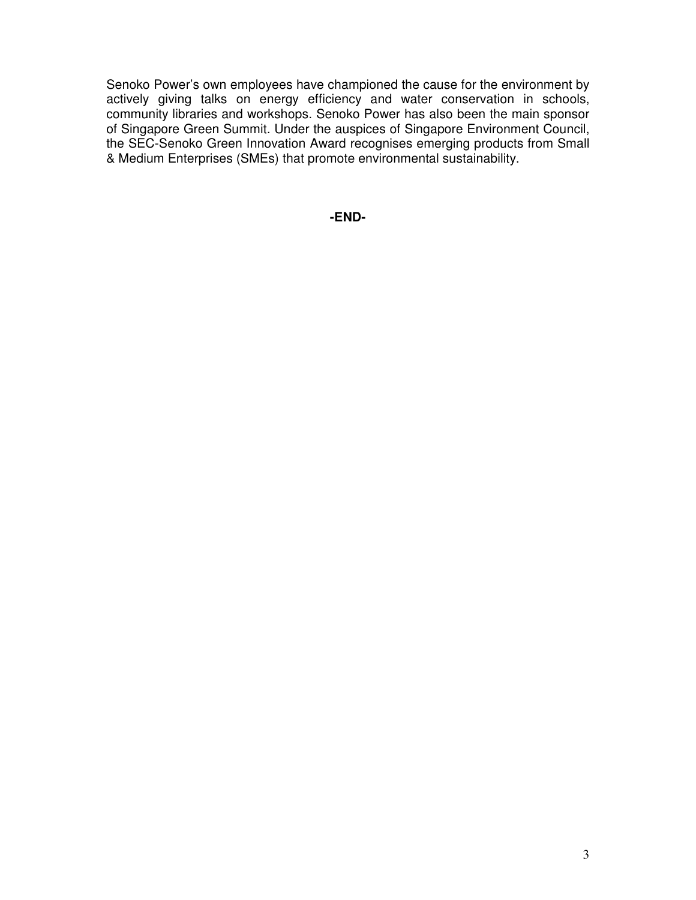Senoko Power's own employees have championed the cause for the environment by actively giving talks on energy efficiency and water conservation in schools, community libraries and workshops. Senoko Power has also been the main sponsor of Singapore Green Summit. Under the auspices of Singapore Environment Council, the SEC-Senoko Green Innovation Award recognises emerging products from Small & Medium Enterprises (SMEs) that promote environmental sustainability.

**-END-**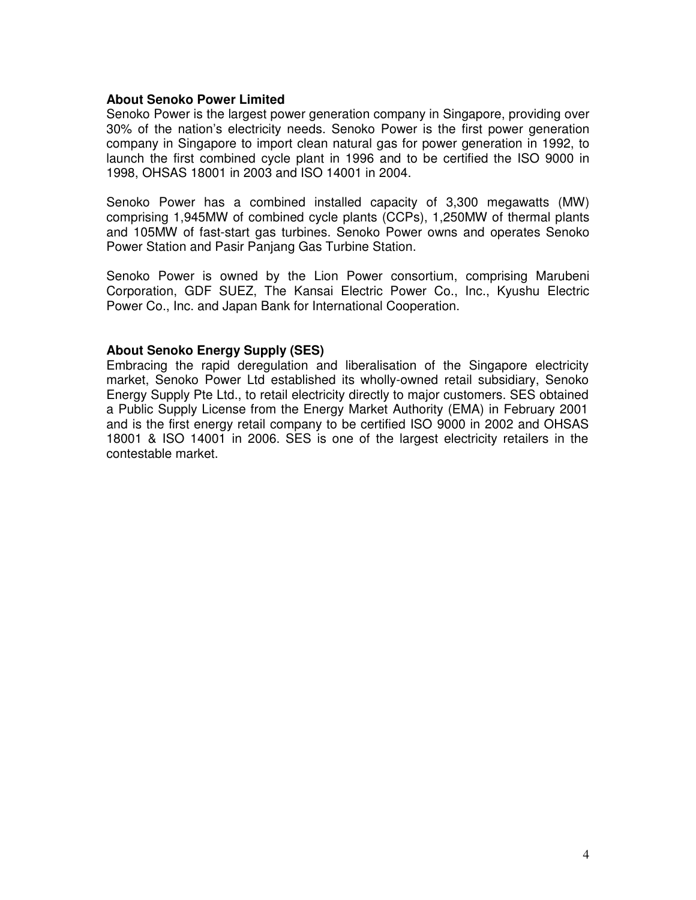#### **About Senoko Power Limited**

Senoko Power is the largest power generation company in Singapore, providing over 30% of the nation's electricity needs. Senoko Power is the first power generation company in Singapore to import clean natural gas for power generation in 1992, to launch the first combined cycle plant in 1996 and to be certified the ISO 9000 in 1998, OHSAS 18001 in 2003 and ISO 14001 in 2004.

Senoko Power has a combined installed capacity of 3,300 megawatts (MW) comprising 1,945MW of combined cycle plants (CCPs), 1,250MW of thermal plants and 105MW of fast-start gas turbines. Senoko Power owns and operates Senoko Power Station and Pasir Panjang Gas Turbine Station.

Senoko Power is owned by the Lion Power consortium, comprising Marubeni Corporation, GDF SUEZ, The Kansai Electric Power Co., Inc., Kyushu Electric Power Co., Inc. and Japan Bank for International Cooperation.

## **About Senoko Energy Supply (SES)**

Embracing the rapid deregulation and liberalisation of the Singapore electricity market, Senoko Power Ltd established its wholly-owned retail subsidiary, Senoko Energy Supply Pte Ltd., to retail electricity directly to major customers. SES obtained a Public Supply License from the Energy Market Authority (EMA) in February 2001 and is the first energy retail company to be certified ISO 9000 in 2002 and OHSAS 18001 & ISO 14001 in 2006. SES is one of the largest electricity retailers in the contestable market.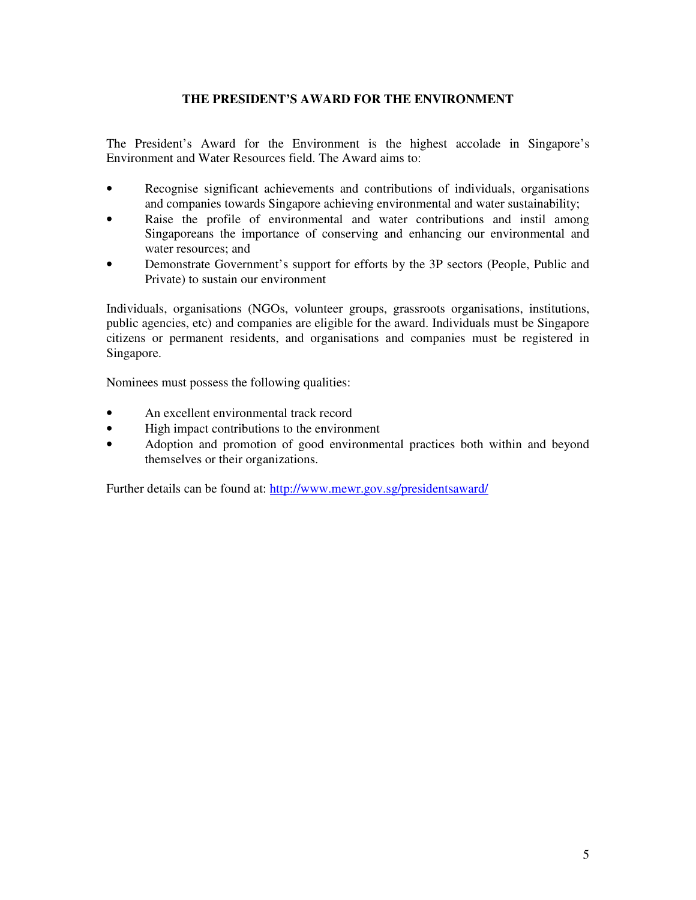# **THE PRESIDENT'S AWARD FOR THE ENVIRONMENT**

The President's Award for the Environment is the highest accolade in Singapore's Environment and Water Resources field. The Award aims to:

- Recognise significant achievements and contributions of individuals, organisations and companies towards Singapore achieving environmental and water sustainability;
- Raise the profile of environmental and water contributions and instil among Singaporeans the importance of conserving and enhancing our environmental and water resources; and
- Demonstrate Government's support for efforts by the 3P sectors (People, Public and Private) to sustain our environment

Individuals, organisations (NGOs, volunteer groups, grassroots organisations, institutions, public agencies, etc) and companies are eligible for the award. Individuals must be Singapore citizens or permanent residents, and organisations and companies must be registered in Singapore.

Nominees must possess the following qualities:

- An excellent environmental track record
- High impact contributions to the environment
- Adoption and promotion of good environmental practices both within and beyond themselves or their organizations.

Further details can be found at: http://www.mewr.gov.sg/presidentsaward/